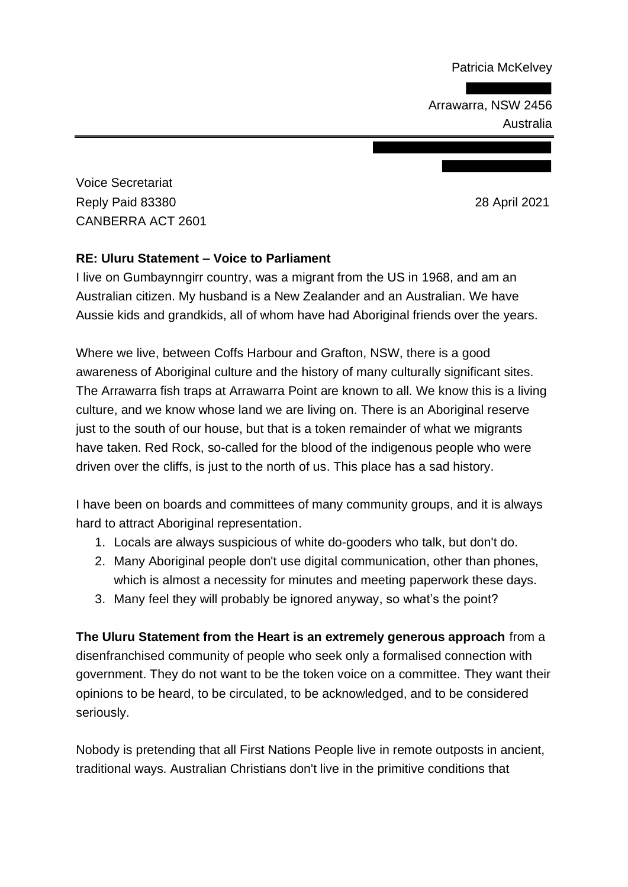Patricia McKelvey

Arrawarra, NSW 2456 Australia

Voice Secretariat Reply Paid 83380 28 April 2021 CANBERRA ACT 2601

## **RE: Uluru Statement – Voice to Parliament**

I live on Gumbaynngirr country, was a migrant from the US in 1968, and am an Australian citizen. My husband is a New Zealander and an Australian. We have Aussie kids and grandkids, all of whom have had Aboriginal friends over the years.

Where we live, between Coffs Harbour and Grafton, NSW, there is a good awareness of Aboriginal culture and the history of many culturally significant sites. The Arrawarra fish traps at Arrawarra Point are known to all. We know this is a living culture, and we know whose land we are living on. There is an Aboriginal reserve just to the south of our house, but that is a token remainder of what we migrants have taken. Red Rock, so-called for the blood of the indigenous people who were driven over the cliffs, is just to the north of us. This place has a sad history.

I have been on boards and committees of many community groups, and it is always hard to attract Aboriginal representation.

- 1. Locals are always suspicious of white do-gooders who talk, but don't do.
- 2. Many Aboriginal people don't use digital communication, other than phones, which is almost a necessity for minutes and meeting paperwork these days.
- 3. Many feel they will probably be ignored anyway, so what's the point?

**The Uluru Statement from the Heart is an extremely generous approach** from a disenfranchised community of people who seek only a formalised connection with government. They do not want to be the token voice on a committee. They want their opinions to be heard, to be circulated, to be acknowledged, and to be considered seriously.

Nobody is pretending that all First Nations People live in remote outposts in ancient, traditional ways. Australian Christians don't live in the primitive conditions that